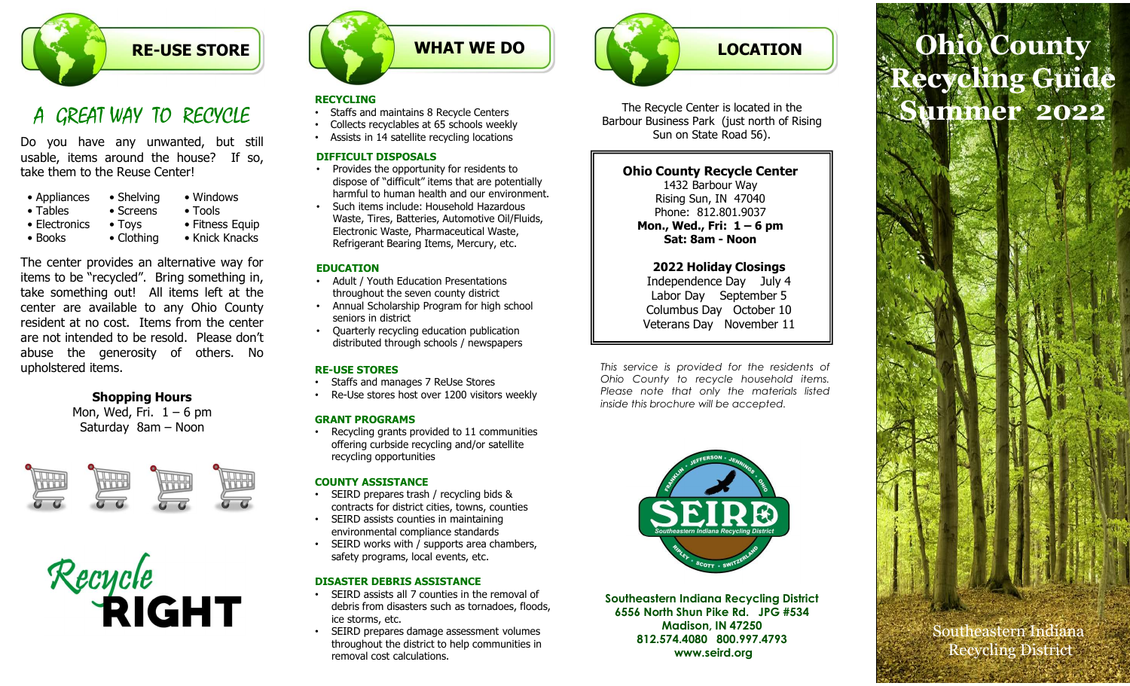

# A GREAT WAY TO RECYCLE

| • Appliances  | • Shelving     | • Windows       |
|---------------|----------------|-----------------|
| • Tables      | • Screens      | $\bullet$ Tools |
| • Electronics | $\bullet$ Toys | • Fitness Equ   |
| • Books       | • Clothing     | • Knick Knac    |
|               |                |                 |

**EXECUTE SOUTHER STORE STORE STORE SECUTIVE SUBARUM WHAT WE DO<br>
A GREAT WAY TO RECVICLE<br>
Do you have any unwanted, but still<br>
solve it is solve seen to the Reuse Center!<br>
Starts and maintains 8 Recycle centers<br>
usable, ite EXECUTE STORE AREALLY AND RECVICUS COUNTROLLY COUNTROLLY COUNTROLLY COUNTROLLY COUNTROLLY COUNTROLLY COUNTROLLY COUNTROLLY COUNTROLLY COUNTROLLY COUNTROLLY COUNTROLLY COUNTROLLY COUNTROLLY COUNTROLLY COUNTROLLY COUNTROLLY EXECUTE AT USE STORE**<br>
A GREAT WAY TO RECVCLE<br>
Do you have any unwanted, but still<br>
be starts and maintains 8 Recycle Centers<br>
Do you have any unwanted, but still<br>
starts and maintains 8 Recycle Centers<br>
starts and mainta **EXECUTE STORE STORE**<br> **A** GREAT WAY TO RECVCLE<br>
Do you have any unwarted, but still<br>
but similar and minitains 8 Recycle Centers<br>
bused it ensemble the house Procedure and the house of the center of the state intended to **EXECUTE SECUTE SECUTE SECUTE SECUTE SECUTE SECUTE SECUTE SECUTE SECUTE SECUTE SECUTE SECUTE SECUTE DESCUTE SECUTE DESCUTE DESCUTE DESCUTE DESCUTE DESCUTE DESCUTE DESCUTE DESCUTE DESCUTE DESCUTE DESCUTE DESCUTE DESCUTE DES** A GREAT WAY TO RECVCLE<br>
Staffs and maintains 8 Recyclables at 65 sc<br>
Do you have any unwanted, but still<br>
usable, items around the house? If so,<br>
take them to the Reuse Center!<br>
Windows<br>
Screens Colois Such items.<br>
The Suc CHI WAY IO KECYCLE<br>
Collects recyclables at 65 schools weekly<br>
have any unwanted, but still<br>
Assists in 4 statline recycle and the house<br>
of the Russian 14 statline reporting locations<br>
to the Reuse Center!<br>
The School Har may any unwanted, but still<br>
Saturation of Assists in 4 stellite recycling locations<br>
Saturation and the house? If so,<br>
the neuse Center!<br>
Saturation of the Reuse Center!<br>
Saturation of the Reuse Center of the Reuse Center

Shopping Hours







#### RECYCLING

- Staffs and maintains 8 Recycle Centers
- Collects recyclables at 65 schools weekly
- Assists in 14 satellite recycling locations

#### DIFFICULT DISPOSALS

- Provides the opportunity for residents to dispose of "difficult" items that are potentially harmful to human health and our environment.
- Such items include: Household Hazardous Waste, Tires, Batteries, Automotive Oil/Fluids,<br>Electronic Waste, Pharmaceutical Waste Electronic Waste, Pharmaceutical Waste, Refrigerant Bearing Items, Mercury, etc.

#### EDUCATION

- Adult / Youth Education Presentations throughout the seven county district
- Annual Scholarship Program for high school seniors in district
- Quarterly recycling education publication distributed through schools / newspapers

- 
- 

#### GRANT PROGRAMS

• Recycling grants provided to 11 communities offering curbside recycling and/or satellite recycling opportunities

### COUNTY ASSISTANCE

- SEIRD prepares trash / recycling bids & contracts for district cities, towns, counties
- SEIRD assists counties in maintaining environmental compliance standards
- SEIRD works with / supports area chambers, safety programs, local events, etc.

### DISASTER DEBRIS ASSISTANCE

- <u>DISASTER DEBRIS ASSISTANCE</u><br>• SEIRD assists all 7 counties in the removal of **the constant of the removal of the set of the set of the set o** debris from disasters such as tornadoes, floods, ice storms, etc.
- SEIRD prepares damage assessment volumes throughout the district to help communities in removal cost calculations.



The Recycle Center is located in the Barbour Business Park (just north of Rising Sun on State Road 56).

### Ohio County Recycle Center

1432 Barbour Way Rising Sun, IN 47040 Phone: 812.801.9037

### 2022 Holiday Closings

Independence Day July 4 Labor Day September 5 Columbus Day October 10 Veterans Day November 11

The Recycle Center is located in the<br>
Barbour Business Park (just north of Rising<br>
Sun on State Road 56).<br>
Ohio County Recycle Center<br>
1432 Barbour Way<br>
Phone. 812.801.9037<br>
Mon, Wed., Fit: 1 – 6 pm<br>
Sat: 8am - Noon<br>
2022 The Recycle Center is located in the<br>Barbour Business Park (just north of Rising<br>Sun on State Road 56).<br>
Ohio County Recycle Center<br>
1432 Barbour Way<br>
Rising Sun, Ni 47040<br>
Phone: 812,801,9037<br>
Mon, Wed., Fri: 1-6 pm<br>
Sate The Recycle Center is located in the<br>Barbour Business Park (just north of Rising<br>
Ohio County Recycle Center<br>
Ohio Cause, Fit: 1 – 6 pm<br>
Phone, a size, 801, 5037<br>
Phone, Wed, Fit: 1 – 6 pm<br>
Sat: 8am - Noon<br>
2022 Holiday Cl Find Recycle Center and Documby Recycle Center (1432 Barbour Business Park (just north of Rising<br>
Sun on State Road 56).<br>
Ohio County Recycle Center (1432 Barbour Way<br>
Rising Sun, NI 47040<br>
Phone: 812.801.9037<br>
Mon., Wed., RE-USE STORES<br>• Staffs and manages 7 Relise Stores<br>• Staffs and manages 7 Relise Stores<br>• Ohio County to recycle household items. • Staffs and manages 7 ReUse Stores • Re-Use stores host over 1200 visitors weekly Please note that only the materic<br>… inside this brochure will be accepted.



Southeastern Indiana Recycling District 6556 North Shun Pike Rd. JPG #534 Madison, IN 47250 812.574.4080 800.997.4793 www.seird.org

# LOCATION BOOK Ohio County LOCATION<br>
PRecycle Center is located in the<br>
TRISINESS Park (just north of Rising<br>
Sun on State Road 56).<br>
Sun on State Road 56).<br>
Mon., Wed., Fri: 1 – 6 pm<br>
2022 Holiday Closings<br>
2022 Holiday Closings<br>
Independence Day J LOCATION<br>
Vole Center is located in the<br>
lines Park (just north of Rising<br>
n on State Road 56).<br>
Outly Recycle Center<br>
sing Sun, IN 47040<br>
Sat: 8am - Noon<br>
Date: 8am - Noon<br>
Sat: 8am - Noon<br>
Pependence Day July 4<br>
bor Day Recycling Guide Summer 2022

Southeastern Indiana Recycling District